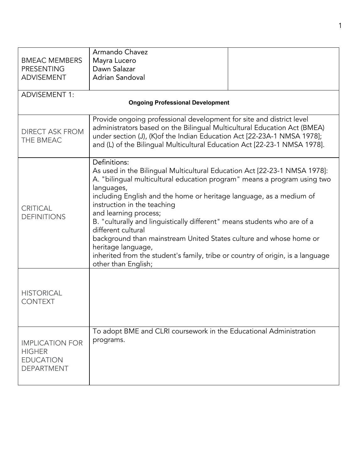|                                                                                  | Armando Chavez                                                                                                                                                                                                                                                                                                                                                                                                                                                                                                                                                                                                            |  |  |  |
|----------------------------------------------------------------------------------|---------------------------------------------------------------------------------------------------------------------------------------------------------------------------------------------------------------------------------------------------------------------------------------------------------------------------------------------------------------------------------------------------------------------------------------------------------------------------------------------------------------------------------------------------------------------------------------------------------------------------|--|--|--|
| <b>BMEAC MEMBERS</b>                                                             | Mayra Lucero                                                                                                                                                                                                                                                                                                                                                                                                                                                                                                                                                                                                              |  |  |  |
| <b>PRESENTING</b>                                                                | Dawn Salazar                                                                                                                                                                                                                                                                                                                                                                                                                                                                                                                                                                                                              |  |  |  |
| <b>ADVISEMENT</b>                                                                | Adrian Sandoval                                                                                                                                                                                                                                                                                                                                                                                                                                                                                                                                                                                                           |  |  |  |
|                                                                                  |                                                                                                                                                                                                                                                                                                                                                                                                                                                                                                                                                                                                                           |  |  |  |
| <b>ADVISEMENT 1:</b>                                                             |                                                                                                                                                                                                                                                                                                                                                                                                                                                                                                                                                                                                                           |  |  |  |
| <b>Ongoing Professional Development</b>                                          |                                                                                                                                                                                                                                                                                                                                                                                                                                                                                                                                                                                                                           |  |  |  |
| <b>DIRECT ASK FROM</b><br>THE BMEAC                                              | Provide ongoing professional development for site and district level<br>administrators based on the Bilingual Multicultural Education Act (BMEA)<br>under section (J), (K) of the Indian Education Act [22-23A-1 NMSA 1978];<br>and (L) of the Bilingual Multicultural Education Act [22-23-1 NMSA 1978].                                                                                                                                                                                                                                                                                                                 |  |  |  |
| <b>CRITICAL</b><br><b>DEFINITIONS</b>                                            | Definitions:<br>As used in the Bilingual Multicultural Education Act [22-23-1 NMSA 1978]:<br>A. "bilingual multicultural education program" means a program using two<br>languages,<br>including English and the home or heritage language, as a medium of<br>instruction in the teaching<br>and learning process;<br>B. "culturally and linguistically different" means students who are of a<br>different cultural<br>background than mainstream United States culture and whose home or<br>heritage language,<br>inherited from the student's family, tribe or country of origin, is a language<br>other than English; |  |  |  |
| <b>HISTORICAL</b><br><b>CONTEXT</b>                                              |                                                                                                                                                                                                                                                                                                                                                                                                                                                                                                                                                                                                                           |  |  |  |
| <b>IMPLICATION FOR</b><br><b>HIGHER</b><br><b>EDUCATION</b><br><b>DEPARTMENT</b> | To adopt BME and CLRI coursework in the Educational Administration<br>programs.                                                                                                                                                                                                                                                                                                                                                                                                                                                                                                                                           |  |  |  |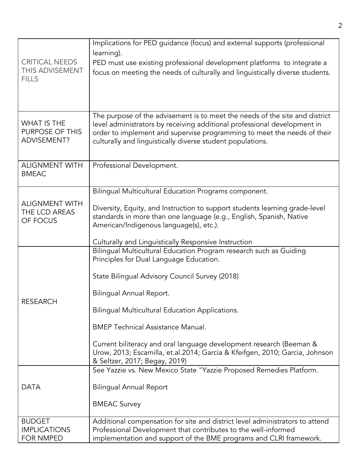|                                                          | Implications for PED guidance (focus) and external supports (professional<br>learning).                                                                                                                                                                                                          |
|----------------------------------------------------------|--------------------------------------------------------------------------------------------------------------------------------------------------------------------------------------------------------------------------------------------------------------------------------------------------|
| <b>CRITICAL NEEDS</b><br>THIS ADVISEMENT<br><b>FILLS</b> | PED must use existing professional development platforms to integrate a<br>focus on meeting the needs of culturally and linguistically diverse students.                                                                                                                                         |
|                                                          |                                                                                                                                                                                                                                                                                                  |
| <b>WHAT IS THE</b><br>PURPOSE OF THIS<br>ADVISEMENT?     | The purpose of the advisement is to meet the needs of the site and district<br>level administrators by receiving additional professional development in<br>order to implement and supervise programming to meet the needs of their<br>culturally and linguistically diverse student populations. |
| <b>ALIGNMENT WITH</b><br><b>BMEAC</b>                    | Professional Development.                                                                                                                                                                                                                                                                        |
|                                                          | Bilingual Multicultural Education Programs component.                                                                                                                                                                                                                                            |
| <b>ALIGNMENT WITH</b><br>THE LCD AREAS<br>OF FOCUS       | Diversity, Equity, and Instruction to support students learning grade-level<br>standards in more than one language (e.g., English, Spanish, Native<br>American/Indigenous language(s), etc.).                                                                                                    |
|                                                          | Culturally and Linguistically Responsive Instruction                                                                                                                                                                                                                                             |
| <b>RESEARCH</b>                                          | Bilingual Multicultural Education Program research such as Guiding<br>Principles for Dual Language Education.                                                                                                                                                                                    |
|                                                          | State Bilingual Advisory Council Survey (2018)                                                                                                                                                                                                                                                   |
|                                                          | Bilingual Annual Report.                                                                                                                                                                                                                                                                         |
|                                                          | Bilingual Multicultural Education Applications.                                                                                                                                                                                                                                                  |
|                                                          | <b>BMEP Technical Assistance Manual.</b>                                                                                                                                                                                                                                                         |
|                                                          | Current biliteracy and oral language development research (Beeman &<br>Urow, 2013; Escamilla, et.al.2014; Garcia & Kfeifgen, 2010; Garcia, Johnson<br>& Seltzer, 2017; Begay, 2019)                                                                                                              |
|                                                          | See Yazzie vs. New Mexico State "Yazzie Proposed Remedies Platform.                                                                                                                                                                                                                              |
| <b>DATA</b>                                              | <b>Bilingual Annual Report</b>                                                                                                                                                                                                                                                                   |
|                                                          | <b>BMEAC Survey</b>                                                                                                                                                                                                                                                                              |
| <b>BUDGET</b>                                            | Additional compensation for site and district level administrators to attend                                                                                                                                                                                                                     |
| <b>IMPLICATIONS</b><br>FOR NMPED                         | Professional Development that contributes to the well-informed<br>implementation and support of the BME programs and CLRI framework.                                                                                                                                                             |
|                                                          |                                                                                                                                                                                                                                                                                                  |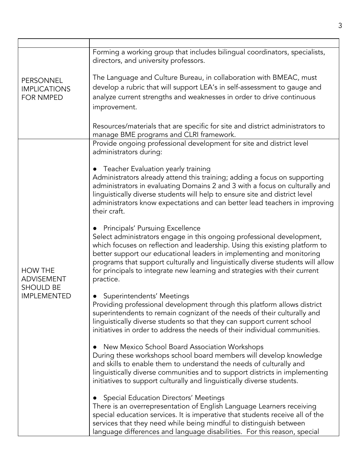| PERSONNEL<br><b>IMPLICATIONS</b><br><b>FOR NMPED</b>                          | Forming a working group that includes bilingual coordinators, specialists,<br>directors, and university professors.                                                                                                                                                                                                                                                                                                                                    |
|-------------------------------------------------------------------------------|--------------------------------------------------------------------------------------------------------------------------------------------------------------------------------------------------------------------------------------------------------------------------------------------------------------------------------------------------------------------------------------------------------------------------------------------------------|
|                                                                               | The Language and Culture Bureau, in collaboration with BMEAC, must<br>develop a rubric that will support LEA's in self-assessment to gauge and<br>analyze current strengths and weaknesses in order to drive continuous<br>improvement.                                                                                                                                                                                                                |
|                                                                               | Resources/materials that are specific for site and district administrators to<br>manage BME programs and CLRI framework.                                                                                                                                                                                                                                                                                                                               |
| <b>HOW THE</b><br><b>ADVISEMENT</b><br><b>SHOULD BE</b><br><b>IMPLEMENTED</b> | Provide ongoing professional development for site and district level<br>administrators during:                                                                                                                                                                                                                                                                                                                                                         |
|                                                                               | • Teacher Evaluation yearly training<br>Administrators already attend this training; adding a focus on supporting<br>administrators in evaluating Domains 2 and 3 with a focus on culturally and<br>linguistically diverse students will help to ensure site and district level<br>administrators know expectations and can better lead teachers in improving<br>their craft.                                                                          |
|                                                                               | <b>Principals' Pursuing Excellence</b><br>Select administrators engage in this ongoing professional development,<br>which focuses on reflection and leadership. Using this existing platform to<br>better support our educational leaders in implementing and monitoring<br>programs that support culturally and linguistically diverse students will allow<br>for principals to integrate new learning and strategies with their current<br>practice. |
|                                                                               | <b>Superintendents' Meetings</b><br>Providing professional development through this platform allows district<br>superintendents to remain cognizant of the needs of their culturally and<br>linguistically diverse students so that they can support current school<br>initiatives in order to address the needs of their individual communities.                                                                                                      |
|                                                                               | New Mexico School Board Association Workshops<br>During these workshops school board members will develop knowledge<br>and skills to enable them to understand the needs of culturally and<br>linguistically diverse communities and to support districts in implementing<br>initiatives to support culturally and linguistically diverse students.                                                                                                    |
|                                                                               | <b>Special Education Directors' Meetings</b><br>There is an overrepresentation of English Language Learners receiving<br>special education services. It is imperative that students receive all of the<br>services that they need while being mindful to distinguish between<br>language differences and language disabilities. For this reason, special                                                                                               |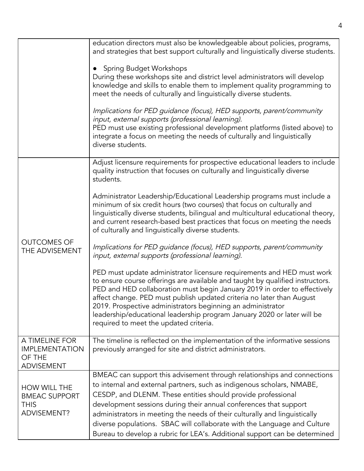|                                                                        | education directors must also be knowledgeable about policies, programs,<br>and strategies that best support culturally and linguistically diverse students.<br>• Spring Budget Workshops<br>During these workshops site and district level administrators will develop<br>knowledge and skills to enable them to implement quality programming to<br>meet the needs of culturally and linguistically diverse students.<br>Implications for PED guidance (focus), HED supports, parent/community<br>input, external supports (professional learning).<br>PED must use existing professional development platforms (listed above) to<br>integrate a focus on meeting the needs of culturally and linguistically<br>diverse students. |
|------------------------------------------------------------------------|-------------------------------------------------------------------------------------------------------------------------------------------------------------------------------------------------------------------------------------------------------------------------------------------------------------------------------------------------------------------------------------------------------------------------------------------------------------------------------------------------------------------------------------------------------------------------------------------------------------------------------------------------------------------------------------------------------------------------------------|
| <b>OUTCOMES OF</b><br>THE ADVISEMENT                                   | Adjust licensure requirements for prospective educational leaders to include<br>quality instruction that focuses on culturally and linguistically diverse<br>students.                                                                                                                                                                                                                                                                                                                                                                                                                                                                                                                                                              |
|                                                                        | Administrator Leadership/Educational Leadership programs must include a<br>minimum of six credit hours (two courses) that focus on culturally and<br>linguistically diverse students, bilingual and multicultural educational theory,<br>and current research-based best practices that focus on meeting the needs<br>of culturally and linguistically diverse students.                                                                                                                                                                                                                                                                                                                                                            |
|                                                                        | Implications for PED guidance (focus), HED supports, parent/community<br>input, external supports (professional learning).                                                                                                                                                                                                                                                                                                                                                                                                                                                                                                                                                                                                          |
|                                                                        | PED must update administrator licensure requirements and HED must work<br>to ensure course offerings are available and taught by qualified instructors.<br>PED and HED collaboration must begin January 2019 in order to effectively<br>affect change. PED must publish updated criteria no later than August<br>2019. Prospective administrators beginning an administrator<br>leadership/educational leadership program January 2020 or later will be<br>required to meet the updated criteria.                                                                                                                                                                                                                                   |
| A TIMELINE FOR<br><b>IMPLEMENTATION</b><br>OF THE<br><b>ADVISEMENT</b> | The timeline is reflected on the implementation of the informative sessions<br>previously arranged for site and district administrators.                                                                                                                                                                                                                                                                                                                                                                                                                                                                                                                                                                                            |
| HOW WILL THE<br><b>BMEAC SUPPORT</b><br><b>THIS</b><br>ADVISEMENT?     | BMEAC can support this advisement through relationships and connections<br>to internal and external partners, such as indigenous scholars, NMABE,<br>CESDP, and DLENM. These entities should provide professional<br>development sessions during their annual conferences that support<br>administrators in meeting the needs of their culturally and linguistically<br>diverse populations. SBAC will collaborate with the Language and Culture<br>Bureau to develop a rubric for LEA's. Additional support can be determined                                                                                                                                                                                                      |